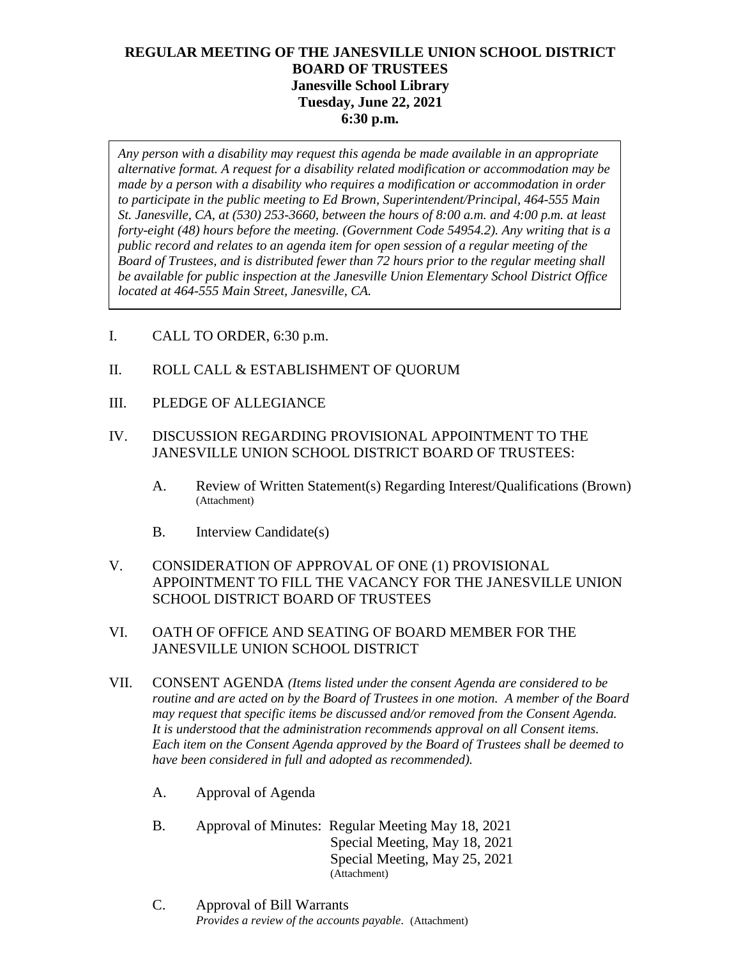# **REGULAR MEETING OF THE JANESVILLE UNION SCHOOL DISTRICT BOARD OF TRUSTEES Janesville School Library Tuesday, June 22, 2021 6:30 p.m.**

*Any person with a disability may request this agenda be made available in an appropriate alternative format. A request for a disability related modification or accommodation may be made by a person with a disability who requires a modification or accommodation in order to participate in the public meeting to Ed Brown, Superintendent/Principal, 464-555 Main St. Janesville, CA, at (530) 253-3660, between the hours of 8:00 a.m. and 4:00 p.m. at least forty-eight (48) hours before the meeting. (Government Code 54954.2). Any writing that is a public record and relates to an agenda item for open session of a regular meeting of the Board of Trustees, and is distributed fewer than 72 hours prior to the regular meeting shall be available for public inspection at the Janesville Union Elementary School District Office located at 464-555 Main Street, Janesville, CA.* 

- I. CALL TO ORDER, 6:30 p.m.
- II. ROLL CALL & ESTABLISHMENT OF QUORUM
- III. PLEDGE OF ALLEGIANCE
- IV. DISCUSSION REGARDING PROVISIONAL APPOINTMENT TO THE JANESVILLE UNION SCHOOL DISTRICT BOARD OF TRUSTEES:
	- A. Review of Written Statement(s) Regarding Interest/Qualifications (Brown) (Attachment)
	- B. Interview Candidate(s)
- V. CONSIDERATION OF APPROVAL OF ONE (1) PROVISIONAL APPOINTMENT TO FILL THE VACANCY FOR THE JANESVILLE UNION SCHOOL DISTRICT BOARD OF TRUSTEES

## VI. OATH OF OFFICE AND SEATING OF BOARD MEMBER FOR THE JANESVILLE UNION SCHOOL DISTRICT

- VII. CONSENT AGENDA *(Items listed under the consent Agenda are considered to be routine and are acted on by the Board of Trustees in one motion. A member of the Board may request that specific items be discussed and/or removed from the Consent Agenda. It is understood that the administration recommends approval on all Consent items. Each item on the Consent Agenda approved by the Board of Trustees shall be deemed to have been considered in full and adopted as recommended).*
	- A. Approval of Agenda
	- B. Approval of Minutes: Regular Meeting May 18, 2021 Special Meeting, May 18, 2021 Special Meeting, May 25, 2021 (Attachment)
	- C. Approval of Bill Warrants *Provides a review of the accounts payable.* (Attachment)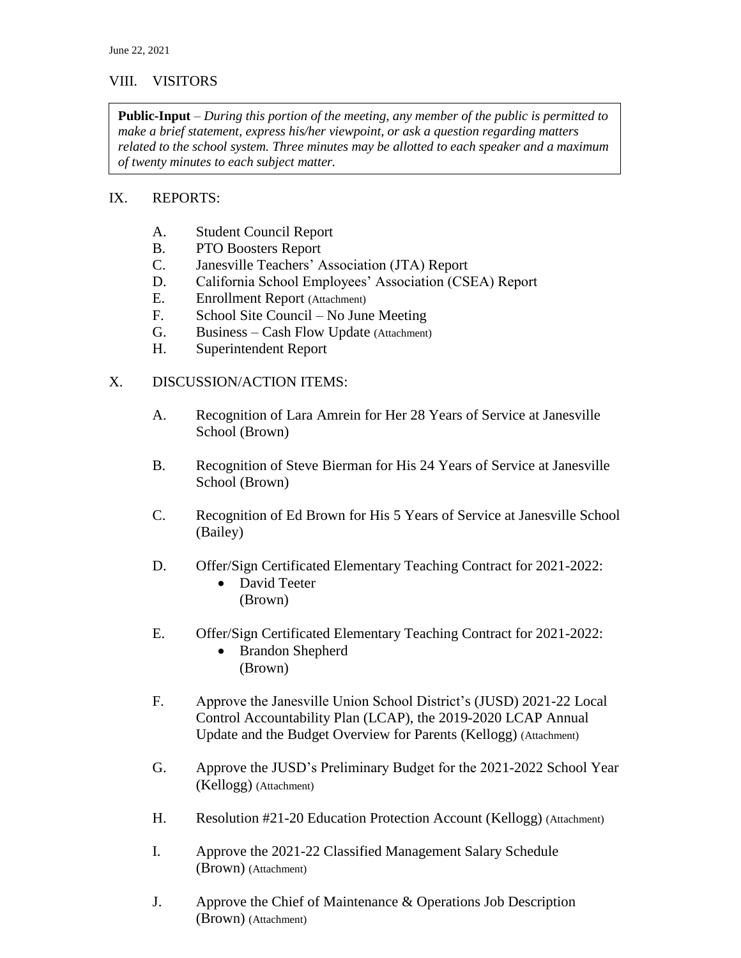## VIII. VISITORS

**Public-Input** – *During this portion of the meeting, any member of the public is permitted to make a brief statement, express his/her viewpoint, or ask a question regarding matters related to the school system. Three minutes may be allotted to each speaker and a maximum of twenty minutes to each subject matter.*

#### IX. REPORTS:

- A. Student Council Report
- B. PTO Boosters Report
- C. Janesville Teachers' Association (JTA) Report
- D. California School Employees' Association (CSEA) Report
- E. Enrollment Report (Attachment)
- F. School Site Council No June Meeting
- G. Business Cash Flow Update (Attachment)
- H. Superintendent Report

#### X. DISCUSSION/ACTION ITEMS:

- A. Recognition of Lara Amrein for Her 28 Years of Service at Janesville School (Brown)
- B. Recognition of Steve Bierman for His 24 Years of Service at Janesville School (Brown)
- C. Recognition of Ed Brown for His 5 Years of Service at Janesville School (Bailey)
- D. Offer/Sign Certificated Elementary Teaching Contract for 2021-2022:
	- David Teeter (Brown)
- E. Offer/Sign Certificated Elementary Teaching Contract for 2021-2022:
	- Brandon Shepherd (Brown)
- F. Approve the Janesville Union School District's (JUSD) 2021-22 Local Control Accountability Plan (LCAP), the 2019-2020 LCAP Annual Update and the Budget Overview for Parents (Kellogg) (Attachment)
- G. Approve the JUSD's Preliminary Budget for the 2021-2022 School Year (Kellogg) (Attachment)
- H. Resolution #21-20 Education Protection Account (Kellogg) (Attachment)
- I. Approve the 2021-22 Classified Management Salary Schedule (Brown) (Attachment)
- J. Approve the Chief of Maintenance & Operations Job Description (Brown) (Attachment)